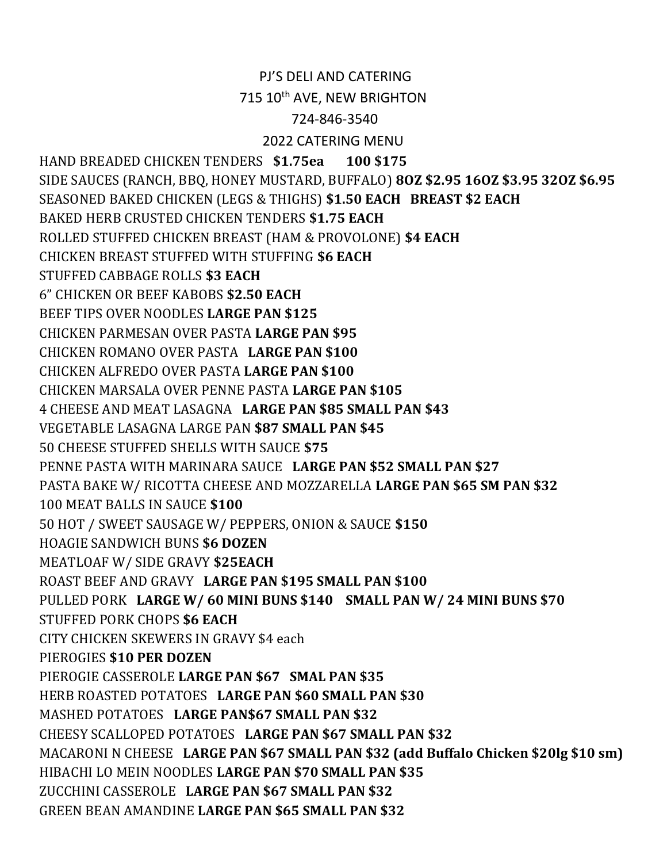## PJ'S DELI AND CATERING

715 10<sup>th</sup> AVE, NEW BRIGHTON

## 724-846-3540

## 2022 CATERING MENU

HAND BREADED CHICKEN TENDERS \$1.75ea 100 \$175 SIDE SAUCES (RANCH, BBQ, HONEY MUSTARD, BUFFALO) 8OZ \$2.95 16OZ \$3.95 32OZ \$6.95 SEASONED BAKED CHICKEN (LEGS & THIGHS) \$1.50 EACH BREAST \$2 EACH BAKED HERB CRUSTED CHICKEN TENDERS \$1.75 EACH ROLLED STUFFED CHICKEN BREAST (HAM & PROVOLONE) \$4 EACH CHICKEN BREAST STUFFED WITH STUFFING \$6 EACH STUFFED CABBAGE ROLLS \$3 EACH 6" CHICKEN OR BEEF KABOBS \$2.50 EACH BEEF TIPS OVER NOODLES LARGE PAN \$125 CHICKEN PARMESAN OVER PASTA LARGE PAN \$95 CHICKEN ROMANO OVER PASTA LARGE PAN \$100 CHICKEN ALFREDO OVER PASTA LARGE PAN \$100 CHICKEN MARSALA OVER PENNE PASTA LARGE PAN \$105 4 CHEESE AND MEAT LASAGNA LARGE PAN \$85 SMALL PAN \$43 VEGETABLE LASAGNA LARGE PAN \$87 SMALL PAN \$45 50 CHEESE STUFFED SHELLS WITH SAUCE \$75 PENNE PASTA WITH MARINARA SAUCE LARGE PAN \$52 SMALL PAN \$27 PASTA BAKE W/ RICOTTA CHEESE AND MOZZARELLA LARGE PAN \$65 SM PAN \$32 100 MEAT BALLS IN SAUCE \$100 50 HOT / SWEET SAUSAGE W/ PEPPERS, ONION & SAUCE \$150 HOAGIE SANDWICH BUNS \$6 DOZEN MEATLOAF W/ SIDE GRAVY \$25EACH ROAST BEEF AND GRAVY LARGE PAN \$195 SMALL PAN \$100 PULLED PORK LARGE W/ 60 MINI BUNS \$140 SMALL PAN W/ 24 MINI BUNS \$70 STUFFED PORK CHOPS \$6 EACH CITY CHICKEN SKEWERS IN GRAVY \$4 each PIEROGIES \$10 PER DOZEN PIEROGIE CASSEROLE LARGE PAN \$67 SMAL PAN \$35 HERB ROASTED POTATOES LARGE PAN \$60 SMALL PAN \$30 MASHED POTATOES LARGE PAN\$67 SMALL PAN \$32 CHEESY SCALLOPED POTATOES LARGE PAN \$67 SMALL PAN \$32 MACARONI N CHEESE LARGE PAN \$67 SMALL PAN \$32 (add Buffalo Chicken \$20lg \$10 sm) HIBACHI LO MEIN NOODLES LARGE PAN \$70 SMALL PAN \$35 ZUCCHINI CASSEROLE LARGE PAN \$67 SMALL PAN \$32 GREEN BEAN AMANDINE LARGE PAN \$65 SMALL PAN \$32